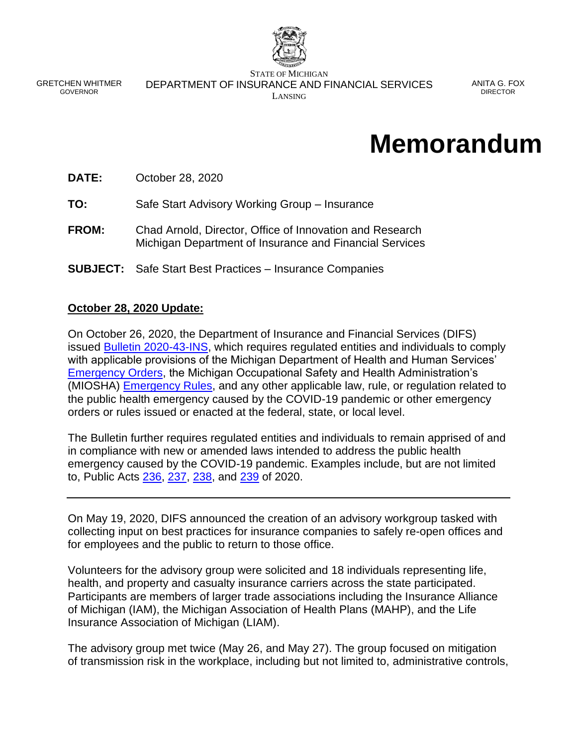

GRETCHEN WHITMER GOVERNOR

STATE OF MICHIGAN DEPARTMENT OF INSURANCE AND FINANCIAL SERVICES LANSING

ANITA G. FOX DIRECTOR

# **Memorandum**

**DATE:** October 28, 2020

**TO:** Safe Start Advisory Working Group – Insurance

- **FROM:** Chad Arnold, Director, Office of Innovation and Research Michigan Department of Insurance and Financial Services
- **SUBJECT:** Safe Start Best Practices Insurance Companies

#### **October 28, 2020 Update:**

On October 26, 2020, the Department of Insurance and Financial Services (DIFS) issued [Bulletin 2020-43-INS,](https://www.michigan.gov/documents/difs/Bulletin_2020-43-INS_706112_7.pdf) which requires regulated entities and individuals to comply with applicable provisions of the Michigan Department of Health and Human Services' [Emergency Orders,](https://www.michigan.gov/coronavirus/0,9753,7-406-98178_98455-533660--,00.html) the Michigan Occupational Safety and Health Administration's (MIOSHA) **Emergency Rules**, and any other applicable law, rule, or regulation related to the public health emergency caused by the COVID-19 pandemic or other emergency orders or rules issued or enacted at the federal, state, or local level.

The Bulletin further requires regulated entities and individuals to remain apprised of and in compliance with new or amended laws intended to address the public health emergency caused by the COVID-19 pandemic. Examples include, but are not limited to, Public Acts [236,](http://www.legislature.mi.gov/(S(4zydeuaglw0zhlcjqsyl1tnk))/mileg.aspx?page=getObject&objectName=2020-HB-6030) [237,](http://www.legislature.mi.gov/(S(4zydeuaglw0zhlcjqsyl1tnk))/mileg.aspx?page=getobject&objectname=2020-HB-6031) [238,](http://www.legislature.mi.gov/(S(4zydeuaglw0zhlcjqsyl1tnk))/mileg.aspx?page=getobject&objectname=2020-HB-6032) and [239](http://www.legislature.mi.gov/(S(4zydeuaglw0zhlcjqsyl1tnk))/mileg.aspx?page=getObject&objectname=2020-HB-6101) of 2020.

On May 19, 2020, DIFS announced the creation of an advisory workgroup tasked with collecting input on best practices for insurance companies to safely re-open offices and for employees and the public to return to those office.

Volunteers for the advisory group were solicited and 18 individuals representing life, health, and property and casualty insurance carriers across the state participated. Participants are members of larger trade associations including the Insurance Alliance of Michigan (IAM), the Michigan Association of Health Plans (MAHP), and the Life Insurance Association of Michigan (LIAM).

The advisory group met twice (May 26, and May 27). The group focused on mitigation of transmission risk in the workplace, including but not limited to, administrative controls,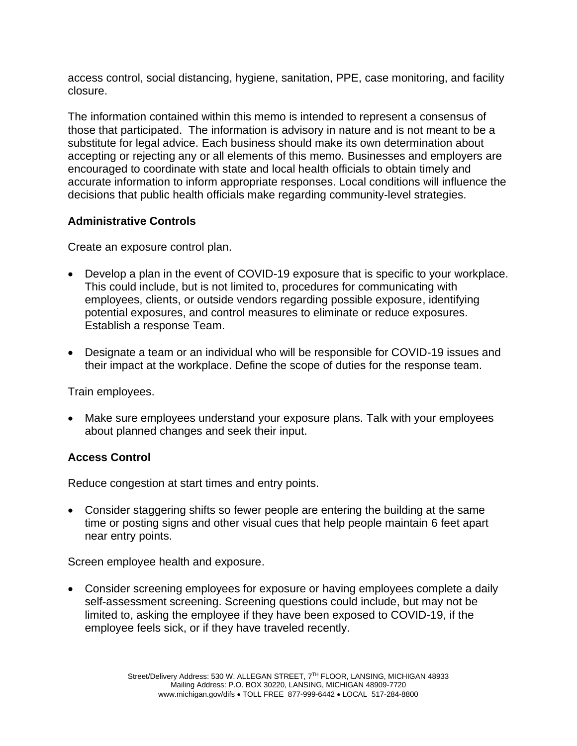access control, social distancing, hygiene, sanitation, PPE, case monitoring, and facility closure.

The information contained within this memo is intended to represent a consensus of those that participated. The information is advisory in nature and is not meant to be a substitute for legal advice. Each business should make its own determination about accepting or rejecting any or all elements of this memo. Businesses and employers are encouraged to coordinate with state and local health officials to obtain timely and accurate information to inform appropriate responses. Local conditions will influence the decisions that public health officials make regarding community-level strategies.

#### **Administrative Controls**

Create an exposure control plan.

- Develop a plan in the event of COVID-19 exposure that is specific to your workplace. This could include, but is not limited to, procedures for communicating with employees, clients, or outside vendors regarding possible exposure, identifying potential exposures, and control measures to eliminate or reduce exposures. Establish a response Team.
- Designate a team or an individual who will be responsible for COVID-19 issues and their impact at the workplace. Define the scope of duties for the response team.

Train employees.

• Make sure employees understand your exposure plans. Talk with your employees about planned changes and seek their input.

#### **Access Control**

Reduce congestion at start times and entry points.

• Consider staggering shifts so fewer people are entering the building at the same time or posting signs and other visual cues that help people maintain 6 feet apart near entry points.

Screen employee health and exposure.

• Consider screening employees for exposure or having employees complete a daily self-assessment screening. Screening questions could include, but may not be limited to, asking the employee if they have been exposed to COVID-19, if the employee feels sick, or if they have traveled recently.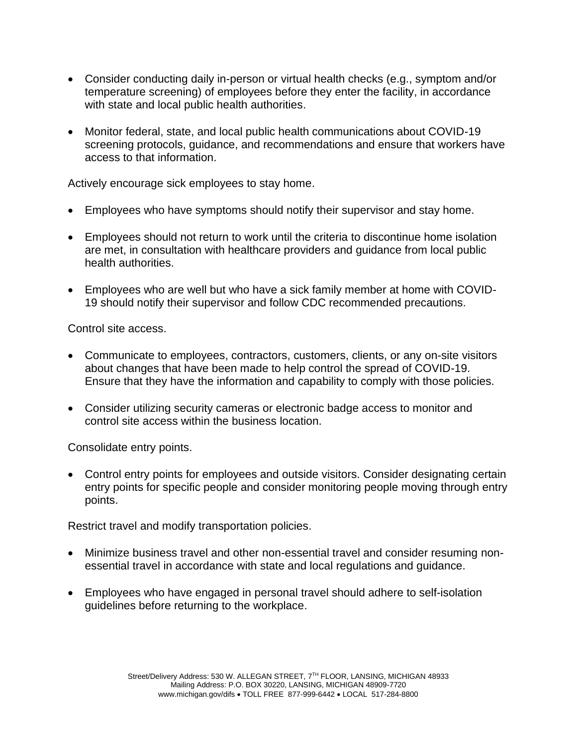- Consider conducting daily in-person or virtual health checks (e.g., symptom and/or temperature screening) of employees before they enter the facility, in accordance with state and local public health authorities.
- Monitor federal, state, and local public health communications about COVID-19 screening protocols, guidance, and recommendations and ensure that workers have access to that information.

Actively encourage sick employees to stay home.

- Employees who have symptoms should notify their supervisor and stay home.
- Employees should not return to work until the criteria to discontinue home isolation are met, in consultation with healthcare providers and guidance from local public health authorities.
- Employees who are well but who have a sick family member at home with COVID-19 should notify their supervisor and follow CDC recommended precautions.

Control site access.

- Communicate to employees, contractors, customers, clients, or any on-site visitors about changes that have been made to help control the spread of COVID-19. Ensure that they have the information and capability to comply with those policies.
- Consider utilizing security cameras or electronic badge access to monitor and control site access within the business location.

Consolidate entry points.

• Control entry points for employees and outside visitors. Consider designating certain entry points for specific people and consider monitoring people moving through entry points.

Restrict travel and modify transportation policies.

- Minimize business travel and other non-essential travel and consider resuming nonessential travel in accordance with state and local regulations and guidance.
- Employees who have engaged in personal travel should adhere to self-isolation guidelines before returning to the workplace.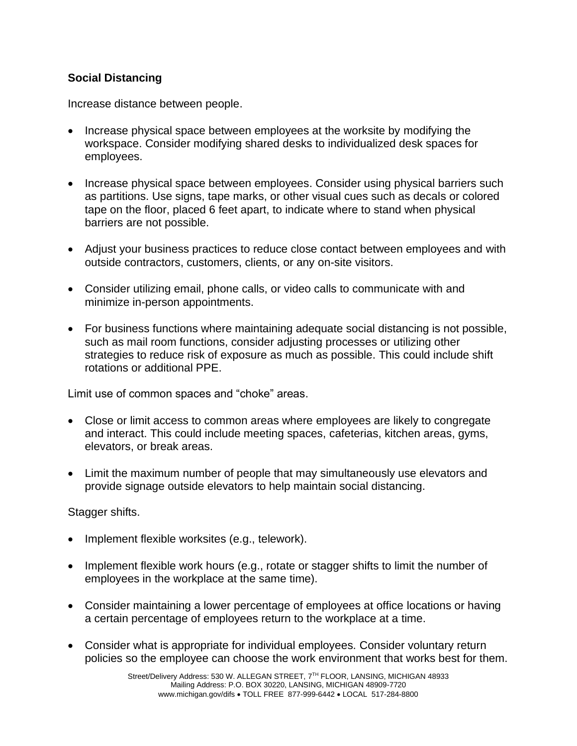## **Social Distancing**

Increase distance between people.

- Increase physical space between employees at the worksite by modifying the workspace. Consider modifying shared desks to individualized desk spaces for employees.
- Increase physical space between employees. Consider using physical barriers such as partitions. Use signs, tape marks, or other visual cues such as decals or colored tape on the floor, placed 6 feet apart, to indicate where to stand when physical barriers are not possible.
- Adjust your business practices to reduce close contact between employees and with outside contractors, customers, clients, or any on-site visitors.
- Consider utilizing email, phone calls, or video calls to communicate with and minimize in-person appointments.
- For business functions where maintaining adequate social distancing is not possible, such as mail room functions, consider adjusting processes or utilizing other strategies to reduce risk of exposure as much as possible. This could include shift rotations or additional PPE.

Limit use of common spaces and "choke" areas.

- Close or limit access to common areas where employees are likely to congregate and interact. This could include meeting spaces, cafeterias, kitchen areas, gyms, elevators, or break areas.
- Limit the maximum number of people that may simultaneously use elevators and provide signage outside elevators to help maintain social distancing.

Stagger shifts.

- Implement flexible worksites (e.g., telework).
- Implement flexible work hours (e.g., rotate or stagger shifts to limit the number of employees in the workplace at the same time).
- Consider maintaining a lower percentage of employees at office locations or having a certain percentage of employees return to the workplace at a time.
- Consider what is appropriate for individual employees. Consider voluntary return policies so the employee can choose the work environment that works best for them.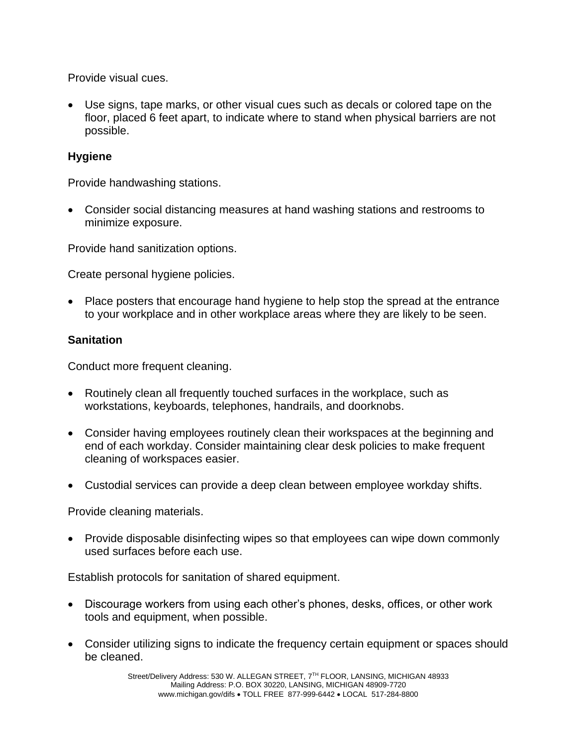Provide visual cues.

• Use signs, tape marks, or other visual cues such as decals or colored tape on the floor, placed 6 feet apart, to indicate where to stand when physical barriers are not possible.

### **Hygiene**

Provide handwashing stations.

• Consider social distancing measures at hand washing stations and restrooms to minimize exposure.

Provide hand sanitization options.

Create personal hygiene policies.

• Place posters that encourage hand hygiene to help stop the spread at the entrance to your workplace and in other workplace areas where they are likely to be seen.

#### **Sanitation**

Conduct more frequent cleaning.

- Routinely clean all frequently touched surfaces in the workplace, such as workstations, keyboards, telephones, handrails, and doorknobs.
- Consider having employees routinely clean their workspaces at the beginning and end of each workday. Consider maintaining clear desk policies to make frequent cleaning of workspaces easier.
- Custodial services can provide a deep clean between employee workday shifts.

Provide cleaning materials.

• Provide disposable disinfecting wipes so that employees can wipe down commonly used surfaces before each use.

Establish protocols for sanitation of shared equipment.

- Discourage workers from using each other's phones, desks, offices, or other work tools and equipment, when possible.
- Consider utilizing signs to indicate the frequency certain equipment or spaces should be cleaned.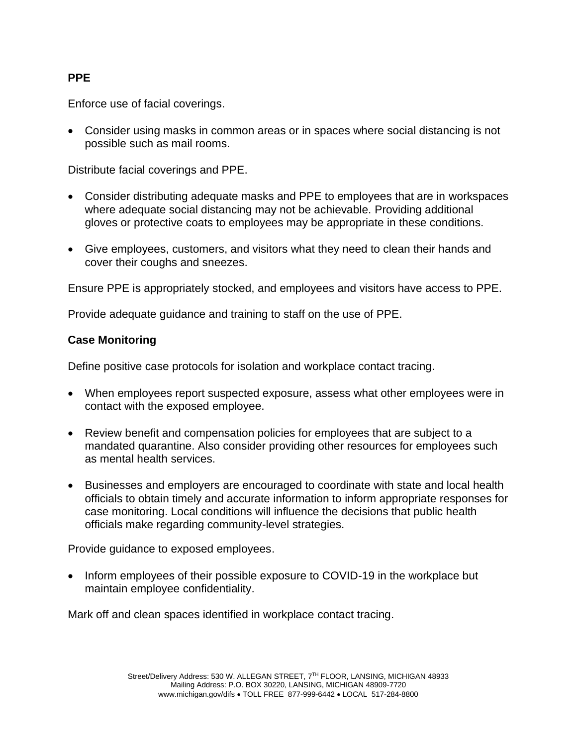### **PPE**

Enforce use of facial coverings.

• Consider using masks in common areas or in spaces where social distancing is not possible such as mail rooms.

Distribute facial coverings and PPE.

- Consider distributing adequate masks and PPE to employees that are in workspaces where adequate social distancing may not be achievable. Providing additional gloves or protective coats to employees may be appropriate in these conditions.
- Give employees, customers, and visitors what they need to clean their hands and cover their coughs and sneezes.

Ensure PPE is appropriately stocked, and employees and visitors have access to PPE.

Provide adequate guidance and training to staff on the use of PPE.

#### **Case Monitoring**

Define positive case protocols for isolation and workplace contact tracing.

- When employees report suspected exposure, assess what other employees were in contact with the exposed employee.
- Review benefit and compensation policies for employees that are subject to a mandated quarantine. Also consider providing other resources for employees such as mental health services.
- Businesses and employers are encouraged to coordinate with state and local health officials to obtain timely and accurate information to inform appropriate responses for case monitoring. Local conditions will influence the decisions that public health officials make regarding community-level strategies.

Provide guidance to exposed employees.

• Inform employees of their possible exposure to COVID-19 in the workplace but maintain employee confidentiality.

Mark off and clean spaces identified in workplace contact tracing.